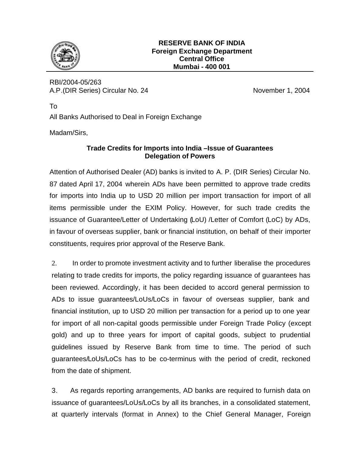

RBI/2004-05/263 A.P.(DIR Series) Circular No. 24 November 1, 2004

All Banks Authorised to Deal in Foreign Exchange

Madam/Sirs,

To

## **Trade Credits for Imports into India –Issue of Guarantees Delegation of Powers**

Attention of Authorised Dealer (AD) banks is invited to A. P. (DIR Series) Circular No. 87 dated April 17, 2004 wherein ADs have been permitted to approve trade credits for imports into India up to USD 20 million per import transaction for import of all items permissible under the EXIM Policy. However, for such trade credits the issuance of Guarantee/Letter of Undertaking (LoU) /Letter of Comfort (LoC) by ADs, in favour of overseas supplier, bank or financial institution, on behalf of their importer constituents, requires prior approval of the Reserve Bank.

2. In order to promote investment activity and to further liberalise the procedures relating to trade credits for imports, the policy regarding issuance of guarantees has been reviewed. Accordingly, it has been decided to accord general permission to ADs to issue guarantees/LoUs/LoCs in favour of overseas supplier, bank and financial institution, up to USD 20 million per transaction for a period up to one year for import of all non-capital goods permissible under Foreign Trade Policy (except gold) and up to three years for import of capital goods, subject to prudential guidelines issued by Reserve Bank from time to time. The period of such guarantees/LoUs/LoCs has to be co-terminus with the period of credit, reckoned from the date of shipment.

3. As regards reporting arrangements, AD banks are required to furnish data on issuance of guarantees/LoUs/LoCs by all its branches, in a consolidated statement, at quarterly intervals (format in Annex) to the Chief General Manager, Foreign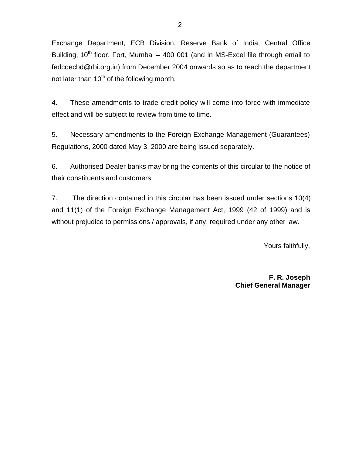Exchange Department, ECB Division, Reserve Bank of India, Central Office Building,  $10^{th}$  floor, Fort, Mumbai – 400 001 (and in MS-Excel file through email to fedcoecbd@rbi.org.in) from December 2004 onwards so as to reach the department not later than  $10^{th}$  of the following month.

4. These amendments to trade credit policy will come into force with immediate effect and will be subject to review from time to time.

5. Necessary amendments to the Foreign Exchange Management (Guarantees) Regulations, 2000 dated May 3, 2000 are being issued separately.

6. Authorised Dealer banks may bring the contents of this circular to the notice of their constituents and customers.

7. The direction contained in this circular has been issued under sections 10(4) and 11(1) of the Foreign Exchange Management Act, 1999 (42 of 1999) and is without prejudice to permissions / approvals, if any, required under any other law.

Yours faithfully,

 **F. R. Joseph Chief General Manager**